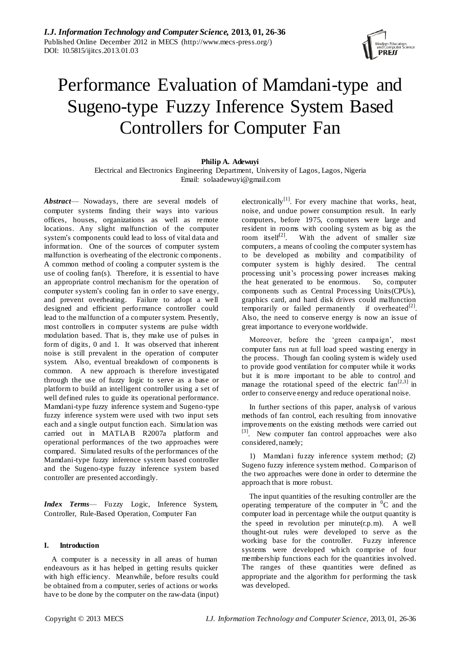

# Performance Evaluation of Mamdani-type and Sugeno-type Fuzzy Inference System Based Controllers for Computer Fan

# **Philip A. Adewuyi**

Electrical and Electronics Engineering Department, University of Lagos, Lagos, Nigeria Email: solaadewuyi@gmail.com

*Abstract*— Nowadays, there are several models of computer systems finding their ways into various offices, houses, organizations as well as remote locations. Any slight malfunction of the computer system's components could lead to loss of vital data and information. One of the sources of computer system malfunction is overheating of the electronic components. A common method of cooling a computer system is the use of cooling fan(s). Therefore, it is essential to have an appropriate control mechanism for the operation of computer system's cooling fan in order to save energy, and prevent overheating. Failure to adopt a well designed and efficient performance controller could lead to the malfunction of a computer system. Presently, most controllers in computer systems are pulse width modulation based. That is, they make use of pulses in form of digits, 0 and 1. It was observed that inherent noise is still prevalent in the operation of computer system. Also, eventual breakdown of components is common. A new approach is therefore investigated through the use of fuzzy logic to serve as a base or platform to build an intelligent controller using a set of well defined rules to guide its operational performance. Mamdani-type fuzzy inference system and Sugeno-type fuzzy inference system were used with two input sets each and a single output function each. Simulation was carried out in MATLAB R2007a platform and operational performances of the two approaches were compared. Simulated results of the performances of the Mamdani-type fuzzy inference system based controller and the Sugeno-type fuzzy inference system based controller are presented accordingly.

*Index Terms*— Fuzzy Logic, Inference System, Controller, Rule-Based Operation, Computer Fan

#### **I. Introduction**

A computer is a necessity in all areas of human endeavours as it has helped in getting results quicker with high efficiency. Meanwhile, before results could be obtained from a computer, series of actions or works have to be done by the computer on the raw-data (input)

electronically<sup>[1]</sup>. For every machine that works, heat, noise, and undue power consumption result. In early computers, before 1975, computers were large and resident in rooms with cooling system as big as the room itself<sup>[2]</sup>. With the advent of smaller size computers, a means of cooling the computer system has to be developed as mobility and compatibility of computer system is highly desired. The central processing unit's processing power increases making the heat generated to be enormous. So, computer components such as Central Processing Units(CPUs), graphics card, and hard disk drives could malfunction temporarily or failed permanently if overheated $^{[2]}$ . Also, the need to conserve energy is now an issue of great importance to everyone worldwide.

Moreover, before the 'green campaign', most computer fans run at full load speed wasting energy in the process. Though fan cooling system is widely used to provide good ventilation for computer while it works but it is more important to be able to control and manage the rotational speed of the electric  $fan^{[2,3]}$  in order to conserve energy and reduce operational noise.

In further sections of this paper, analysis of various methods of fan control, each resulting from innovative improvements on the existing methods were carried out <sup>[3]</sup>. New computer fan control approaches were also considered, namely;

1) Mamdani fuzzy inference system method; (2) Sugeno fuzzy inference system method. Comparison of the two approaches were done in order to determine the approach that is more robust.

The input quantities of the resulting controller are the operating temperature of the computer in  ${}^{0}C$  and the computer load in percentage while the output quantity is the speed in revolution per minute(r.p.m). A well thought-out rules were developed to serve as the working base for the controller. Fuzzy inference systems were developed which comprise of four membership functions each for the quantities involved. The ranges of these quantities were defined as appropriate and the algorithm for performing the task was developed.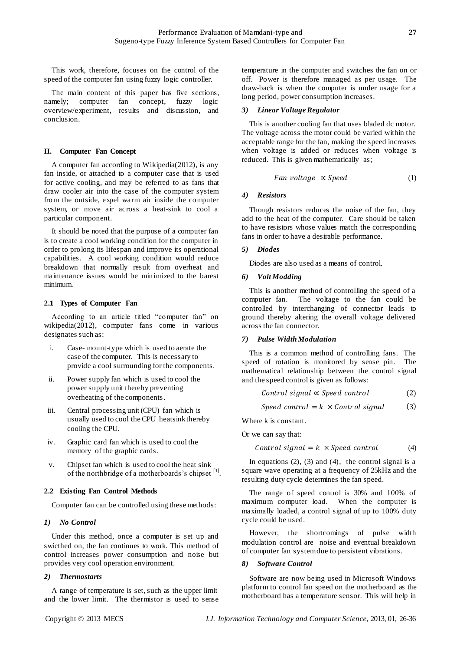This work, therefore, focuses on the control of the speed of the computer fan using fuzzy logic controller.

The main content of this paper has five sections, namely; computer fan concept, fuzzy logic overview/experiment, results and discussion, and conclusion.

### **II. Computer Fan Concept**

A computer fan according to Wikipedia(2012), is any fan inside, or attached to a computer case that is used for active cooling, and may be referred to as fans that draw cooler air into the case of the computer system from the outside, expel warm air inside the computer system, or move air across a heat-sink to cool a particular component.

It should be noted that the purpose of a computer fan is to create a cool working condition for the computer in order to prolong its lifespan and improve its operational capabilities. A cool working condition would reduce breakdown that normally result from overheat and maintenance issues would be minimized to the barest minimum.

### **2.1 Types of Computer Fan**

According to an article titled "computer fan" on wikipedia(2012), computer fans come in various designates such as:

- i. Case- mount-type which is used to aerate the case of the computer. This is necessary to provide a cool surrounding for the components.
- ii. Power supply fan which is used to cool the power supply unit thereby preventing overheating of the components.
- iii. Central processing unit (CPU) fan which is usually used to cool the CPU heatsink thereby cooling the CPU.
- iv. Graphic card fan which is used to cool the memory of the graphic cards.
- v. Chipset fan which is used to cool the heat sink of the northbridge of a motherboards's chipset [1].

# **2.2 Existing Fan Control Methods**

Computer fan can be controlled using these methods:

# *1) No Control*

Under this method, once a computer is set up and swicthed on, the fan continues to work. This method of control increases power consumption and noise but provides very cool operation environment.

# *2) Thermostarts*

A range of temperature is set, such as the upper limit and the lower limit. The thermistor is used to sense

temperature in the computer and switches the fan on or off. Power is therefore managed as per usage. The draw-back is when the computer is under usage for a long period, power consumption increases.

#### *3) Linear Voltage Regulator*

This is another cooling fan that uses bladed dc motor. The voltage across the motor could be varied within the acceptable range for the fan, making the speed increases when voltage is added or reduces when voltage is reduced. This is given mathematically as;

$$
Fan voltage \propto Speed \tag{1}
$$

### *4) Resistors*

Though resistors reduces the noise of the fan, they add to the heat of the computer. Care should be taken to have resistors whose values match the corresponding fans in order to have a desirable performance.

### *5) Diodes*

Diodes are also used as a means of control.

### *6) Volt Modding*

This is another method of controlling the speed of a computer fan. The voltage to the fan could be controlled by interchanging of connector leads to ground thereby altering the overall voltage delivered across the fan connector.

#### *7) Pulse Width Modulation*

This is a common method of controlling fans. The speed of rotation is monitored by sense pin. The mathematical relationship between the control signal and the speed control is given as follows:

$$
Control signal \propto Speed \ control \tag{2}
$$

$$
Speed control = k \times Control signal
$$
 (3)

Where k is constant.

Or we can say that:

$$
Control signal = k \times Speed \ control \tag{4}
$$

In equations  $(2)$ ,  $(3)$  and  $(4)$ , the control signal is a square wave operating at a frequency of 25kHz and the resulting duty cycle determines the fan speed.

The range of speed control is 30% and 100% of maximum computer load. When the computer is maximally loaded, a control signal of up to 100% duty cycle could be used.

However, the shortcomings of pulse width modulation control are noise and eventual breakdown of computer fan system due to persistent vibrations.

# *8) Software Control*

Software are now being used in Microsoft Windows platform to control fan speed on the motherboard as the motherboard has a temperature sensor. This will help in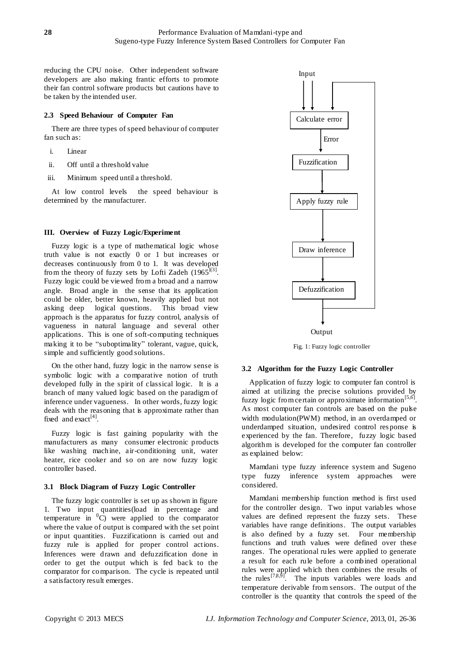reducing the CPU noise. Other independent software developers are also making frantic efforts to promote their fan control software products but cautions have to be taken by the intended user.

### **2.3 Speed Behaviour of Computer Fan**

There are three types of speed behaviour of computer fan such as:

- i. Linear
- ii. Off until a threshold value
- iii. Minimum speed until a threshold.

At low control levels the speed behaviour is determined by the manufacturer.

### **III. Overview of Fuzzy Logic/Experiment**

Fuzzy logic is a type of mathematical logic whose truth value is not exactly 0 or 1 but increases or decreases continuously from 0 to 1. It was developed from the theory of fuzzy sets by Lofti Zadeh  $(1965)^{[3]}$ . Fuzzy logic could be viewed from a broad and a narrow angle. Broad angle in the sense that its application could be older, better known, heavily applied but not asking deep logical questions. This broad view approach is the apparatus for fuzzy control, analysis of vagueness in natural language and several other applications. This is one of soft-computing techniques making it to be "suboptimality" tolerant, vague, quick, simple and sufficiently good solutions.

On the other hand, fuzzy logic in the narrow sense is symbolic logic with a comparative notion of truth developed fully in the spirit of classical logic. It is a branch of many valued logic based on the paradigm of inference under vagueness. In other words, fuzzy logic deals with the reasoning that is approximate rather than fixed and exact $^{[4]}$ .

Fuzzy logic is fast gaining popularity with the manufacturers as many consumer electronic products like washing machine, air-conditioning unit, water heater, rice cooker and so on are now fuzzy logic controller based.

# **3.1 Block Diagram of Fuzzy Logic Controller**

The fuzzy logic controller is set up as shown in figure 1. Two input quantities(load in percentage and temperature in  ${}^{0}C$ ) were applied to the comparator where the value of output is compared with the set point or input quantities. Fuzzificationn is carried out and fuzzy rule is applied for proper control actions. Inferences were drawn and defuzzification done in order to get the output which is fed back to the comparator for comparison. The cycle is repeated until a satisfactory result emerges.



Fig. 1: Fuzzy logic controller

#### **3.2 Algorithm for the Fuzzy Logic Controller**

Application of fuzzy logic to computer fan control is aimed at utilizing the precise solutions provided by fuzzy logic from certain or approximate information<sup>[5,6]</sup>. As most computer fan controls are based on the pulse width modulation(PWM) method, in an overdamped or underdamped situation, undesired control res ponse is experienced by the fan. Therefore, fuzzy logic based algorithm is developed for the computer fan controller as explained below:

Mamdani type fuzzy inference system and Sugeno type fuzzy inference system approaches were considered.

Mamdani membership function method is first used for the controller design. Two input variables whose values are defined represent the fuzzy sets. These variables have range definitions. The output variables is also defined by a fuzzy set. Four membership functions and truth values were defined over these ranges. The operational rules were applied to generate a result for each rule before a combined operational rules were applied which then combines the results of the rules<sup>[7,8,9]</sup>. The inputs variables were loads and temperature derivable from sensors. The output of the controller is the quantity that controls the speed of the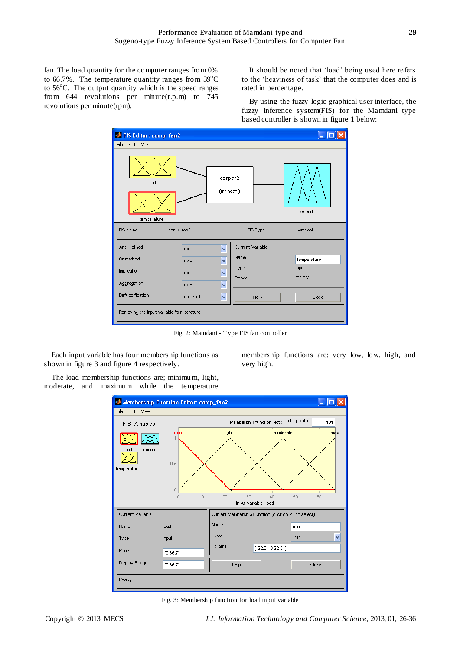fan. The load quantity for the computer ranges from 0% to 66.7%. The temperature quantity ranges from  $39^{\circ}$ C to  $56^{\circ}$ C. The output quantity which is the speed ranges from 644 revolutions per minute(r.p.m) to 745 revolutions per minute(rpm).

It should be noted that 'load' being used here refers to the 'heaviness of task' that the computer does and is rated in percentage.

By using the fuzzy logic graphical user interface, the fuzzy inference system(FIS) for the Mamdani type based controller is shown in figure 1 below:

membership functions are; very low, low, high, and



Fig. 2: Mamdani - Type FIS fan controller

very high.

Each input variable has four membership functions as shown in figure 3 and figure 4 respectively.

The load membership functions are; minimu m, light, moderate, and maximum while the temperature



Fig. 3: Membership function for load input variable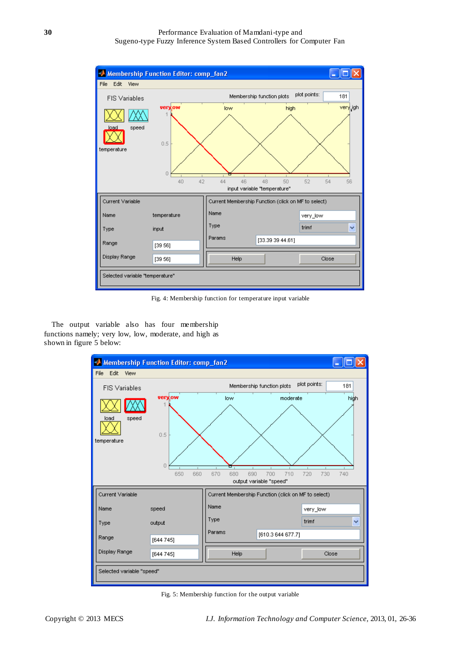

Fig. 4: Membership function for temperature input variable

The output variable also has four membership functions namely; very low, low, moderate, and high as shown in figure 5 below:



Fig. 5: Membership function for the output variable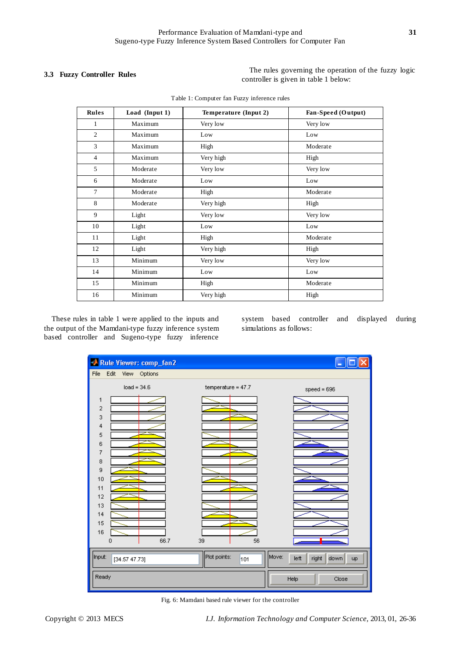**3.3 Fuzzy Controller Rules** The rules governing the operation of the fuzzy logic controller is given in table 1 below:

| Rules          | Load (Input 1) | Temperature (Input 2) | Fan-Speed (Output) |
|----------------|----------------|-----------------------|--------------------|
| 1              | Maximum        | Very low              | Very low           |
| $\overline{2}$ | Maximum        | Low                   | Low                |
| 3              | Maximum        | High                  | Moderate           |
| $\overline{4}$ | Maximum        | Very high             | High               |
| 5              | Moderate       | Very low              | Very low           |
| 6              | Moderate       | Low                   | Low                |
| $\overline{7}$ | Moderate       | High                  | Moderate           |
| 8              | Moderate       | Very high             | High               |
| 9              | Light          | Very low              | Very low           |
| 10             | Light          | Low                   | Low                |
| 11             | Light          | High                  | Moderate           |
| 12             | Light          | Very high             | High               |
| 13             | Minimum        | Very low              | Very low           |
| 14             | Minimum        | Low                   | Low                |
| 15             | Minimum        | High                  | Moderate           |
| 16             | Minimum        | Very high             | High               |

These rules in table 1 were applied to the inputs and the output of the Mamdani-type fuzzy inference system based controller and Sugeno-type fuzzy inference

system based controller and displayed during simulations as follows:



Fig. 6: Mamdani based rule viewer for the controller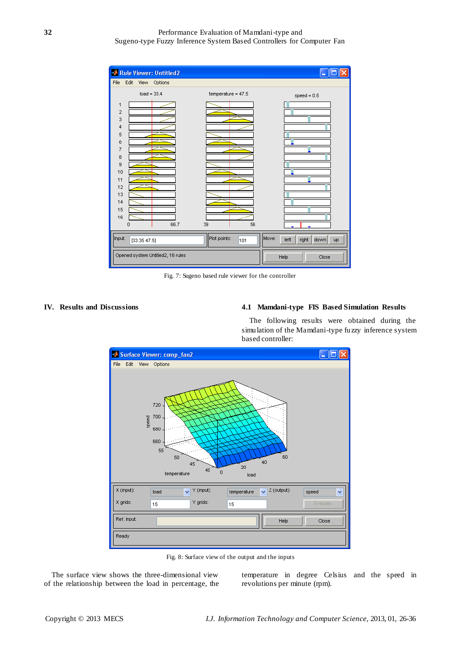| <b>Rule Viewer: Untitled2</b><br>g) |                     |                                      |  |  |  |
|-------------------------------------|---------------------|--------------------------------------|--|--|--|
| File<br>Edit<br>View Options        |                     |                                      |  |  |  |
| $load = 33.4$                       | temperature = 47.5  | $speed = 0.5$                        |  |  |  |
| $\mathbf{1}$                        |                     |                                      |  |  |  |
| $\overline{\mathbf{c}}$             |                     |                                      |  |  |  |
| 3                                   |                     |                                      |  |  |  |
| 4<br>5                              |                     |                                      |  |  |  |
| 6                                   |                     |                                      |  |  |  |
| $\overline{7}$                      |                     |                                      |  |  |  |
| 8                                   |                     |                                      |  |  |  |
| 9                                   |                     |                                      |  |  |  |
| 10                                  |                     |                                      |  |  |  |
| 11<br>12                            |                     |                                      |  |  |  |
| 13                                  |                     |                                      |  |  |  |
| 14                                  |                     |                                      |  |  |  |
| 15                                  |                     |                                      |  |  |  |
| 16                                  |                     |                                      |  |  |  |
| 66.7<br>$\Omega$                    | 56<br>39            |                                      |  |  |  |
| Input:<br>[33.35 47.5]              | Plot points:<br>101 | Move:<br>left<br>right<br>down<br>up |  |  |  |
| Opened system Untitled2, 16 rules   | Help<br>Close       |                                      |  |  |  |

Fig. 7: Sugeno based rule viewer for the controller

## **IV. Results and Discussions 4.1 Mamdani-type FIS Based Simulation Results**

The following results were obtained during the simulation of the Mamdani-type fuzzy inference system based controller:



Fig. 8: Surface view of the output and the inputs

The surface view shows the three-dimensional view of the relationship between the load in percentage, the temperature in degree Celsius and the speed in revolutions per minute (rpm).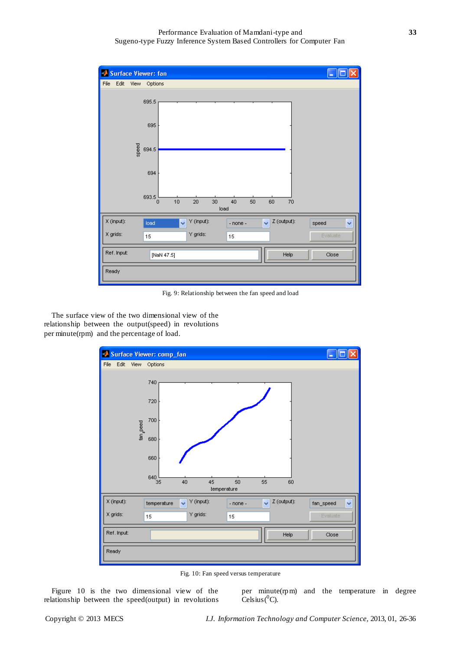| Ð<br><b>Surface Viewer: fan</b> |                                                                          |            |
|---------------------------------|--------------------------------------------------------------------------|------------|
| Edit<br>File<br>View -          | Options                                                                  |            |
| 695.5                           |                                                                          |            |
| 695                             |                                                                          |            |
| speed<br>694.5                  |                                                                          |            |
| 694                             |                                                                          |            |
| 693.5                           | 10<br>$20\,$<br>30<br>50<br>40<br>60<br>70<br>$\overline{0}$<br>load     |            |
| X (input):<br>load              | Y (input):<br>Z (output):<br>$\checkmark$<br>$\ddotmark$<br>$-$ none $-$ | Y<br>speed |
| X grids:<br>15                  | Y grids:<br>15                                                           | Evaluate   |
| Ref. Input:                     | Help<br>[NaN 47.5]                                                       | Close      |
| Ready                           |                                                                          |            |

Fig. 9: Relationship between the fan speed and load

The surface view of the two dimensional view of the relationship between the output(speed) in revolutions per minute(rpm) and the percentage of load.



Fig. 10: Fan speed versus temperature

Figure 10 is the two dimensional view of the relationship between the speed(output) in revolutions per minute(rpm) and the temperature in degree  $\text{Celsius} ({}^0C).$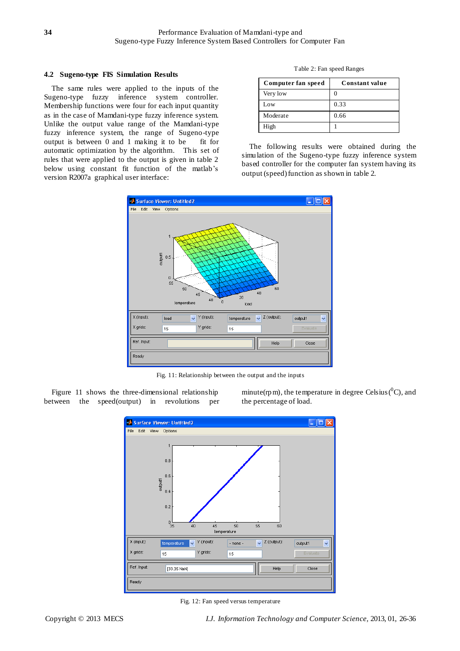#### **4.2 Sugeno-type FIS Simulation Results**

The same rules were applied to the inputs of the Sugeno-type fuzzy inference system controller. Membership functions were four for each input quantity as in the case of Mamdani-type fuzzy inference system. Unlike the output value range of the Mamdani-type fuzzy inference system, the range of Sugeno-type output is between 0 and 1 making it to be fit for automatic optimization by the algorithm. This set of rules that were applied to the output is given in table 2 below using constant fit function of the matlab's version R2007a graphical user interface:

Table 2: Fan speed Ranges

| Computer fan speed | Constant value |
|--------------------|----------------|
| Very low           |                |
| Low                | 0.33           |
| Moderate           | 0.66           |
| High               |                |

The following results were obtained during the simulation of the Sugeno-type fuzzy inference system based controller for the computer fan system having its output (speed) function as shown in table 2.



Fig. 11: Relationship between the output and the inputs

Figure 11 shows the three-dimensional relationship between the speed(output) in revolutions per

minute(rpm), the temperature in degree Celsius( ${}^{0}C$ ), and the percentage of load.



Fig. 12: Fan speed versus temperature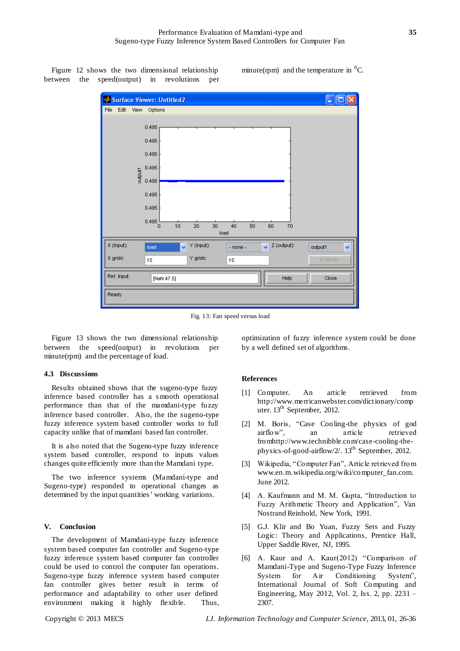Figure 12 shows the two dimensional relationship between the speed(output) in revolutions per minute(rpm) and the temperature in  ${}^{0}C$ .

|             |      |             | Surface Viewer: Untitled2                                          | $\blacksquare$ |
|-------------|------|-------------|--------------------------------------------------------------------|----------------|
| File        | Edit | <b>View</b> | Options                                                            |                |
|             |      |             | 0.495                                                              |                |
|             |      |             | 0.495                                                              |                |
|             |      |             | 0.495                                                              |                |
|             |      |             | 0.495                                                              |                |
|             |      | output1     | 0.495                                                              |                |
|             |      |             | 0.495                                                              |                |
|             |      |             | 0.495                                                              |                |
|             |      |             | 0.495<br>40<br>٥<br>10<br>$20\,$<br>30<br>50<br>60<br>70           |                |
|             |      |             | load                                                               |                |
| X (input):  |      |             | Z (output):<br>Y (input):<br>Ÿ<br>$\checkmark$<br>load<br>- none - | Y<br>output1   |
| X grids:    |      |             | Y grids:<br>15<br>15                                               | Evaluate       |
| Ref. Input: |      |             | Help<br>[NaN 47.5]                                                 | Close          |
|             |      |             |                                                                    |                |
| Ready       |      |             |                                                                    |                |
|             |      |             |                                                                    |                |

Fig. 13: Fan speed versus load

Figure 13 shows the two dimensional relationship between the speed(output) in revolutions per minute(rpm) and the percentage of load.

#### **4.3 Discussions**

Results obtained shows that the sugeno-type fuzzy inference based controller has a s mooth operational performance than that of the mamdani-type fuzzy inference based controller. Also, the the sugeno-type fuzzy inference system based controller works to full capacity unlike that of mamdani based fan controller.

It is also noted that the Sugeno-type fuzzy inference system based controller, respond to inputs values changes quite efficiently more than the Mamdani type.

The two inference systems (Mamdani-type and Sugeno-type) responded to operational changes as determined by the input quantities' working variations.

#### **V. Conclusion**

The development of Mamdani-type fuzzy inference system based computer fan controller and Sugeno-type fuzzy inference system based computer fan controller could be used to control the computer fan operations. Sugeno-type fuzzy inference system based computer fan controller gives better result in terms of performance and adaptability to other user defined environment making it highly flexible. Thus, optimization of fuzzy inference system could be done by a well defined set of algorithms.

#### **References**

- [1] Computer. An article retrieved from http://www.merricanwebster.com/dictionary/comp uter. 13<sup>th</sup> September, 2012.
- [2] M. Boris, "Case Cooling-the physics of god airflow", an article retrieved fromhttp://www.technibble.com/case-cooling-thephysics-of-good-airflow/2/. 13<sup>th</sup> September, 2012.
- [3] Wikipedia, "Computer Fan", Article retrieved from www.en.m.wikipedia.org/wiki/computer\_fan.com. June 2012.
- [4] A. Kaufmann and M. M. Gupta, "Introduction to Fuzzy Arithmetic Theory and Application", Van Nostrand Reinhold, New York, 1991.
- [5] G.J. Klir and Bo Yuan, Fuzzy Sets and Fuzzy Logic: Theory and Applications, Prentice Hall, Upper Saddle River, NJ, 1995.
- [6] A. Kaur and A. Kaur(2012) "Comparison of Mamdani-Type and Sugeno-Type Fuzzy Inference System for Air Conditioning System", International Journal of Soft Computing and Engineering, May 2012, Vol. 2, Iss. 2, pp. 2231 – 2307.